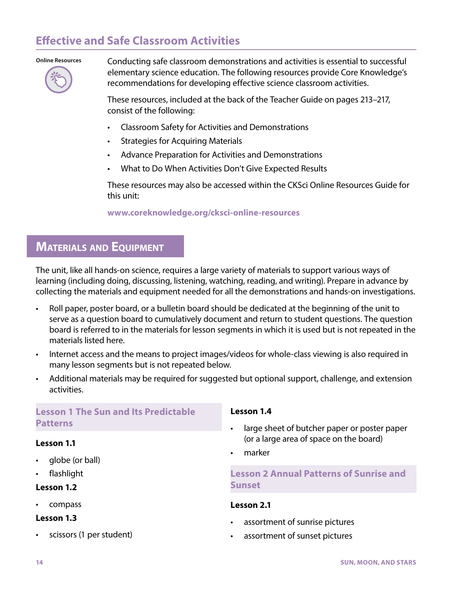# **Effective and Safe Classroom Activities**

#### **Online Resources**



Conducting safe classroom demonstrations and activities is essential to successful elementary science education. The following resources provide Core Knowledge's recommendations for developing effective science classroom activities.

These resources, included at the back of the Teacher Guide on pages 213–217, consist of the following:

- Classroom Safety for Activities and Demonstrations
- Strategies for Acquiring Materials
- Advance Preparation for Activities and Demonstrations
- What to Do When Activities Don't Give Expected Results

These resources may also be accessed within the CKSci Online Resources Guide for this unit:

**www.coreknowledge.org/cksci-online-resources**

## **MATERIALS AND EQUIPMENT**

The unit, like all hands-on science, requires a large variety of materials to support various ways of learning (including doing, discussing, listening, watching, reading, and writing). Prepare in advance by collecting the materials and equipment needed for all the demonstrations and hands-on investigations.

- Roll paper, poster board, or a bulletin board should be dedicated at the beginning of the unit to serve as a question board to cumulatively document and return to student questions. The question board is referred to in the materials for lesson segments in which it is used but is not repeated in the materials listed here.
- Internet access and the means to project images/videos for whole-class viewing is also required in many lesson segments but is not repeated below.
- Additional materials may be required for suggested but optional support, challenge, and extension activities.

### **Lesson 1 The Sun and Its Predictable Patterns**

### **Lesson 1.1**

- globe (or ball)
- flashlight

### **Lesson 1.2**

• compass

### **Lesson 1.3**

• scissors (1 per student)

#### **Lesson 1.4**

- large sheet of butcher paper or poster paper (or a large area of space on the board)
- marker

### **Lesson 2 Annual Patterns of Sunrise and Sunset**

#### **Lesson 2.1**

- assortment of sunrise pictures
- assortment of sunset pictures